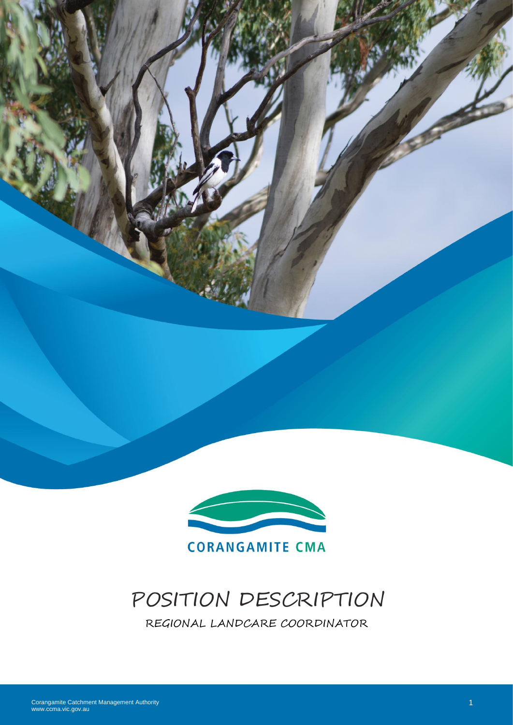



# POSITION DESCRIPTION

REGIONAL LANDCARE COORDINATOR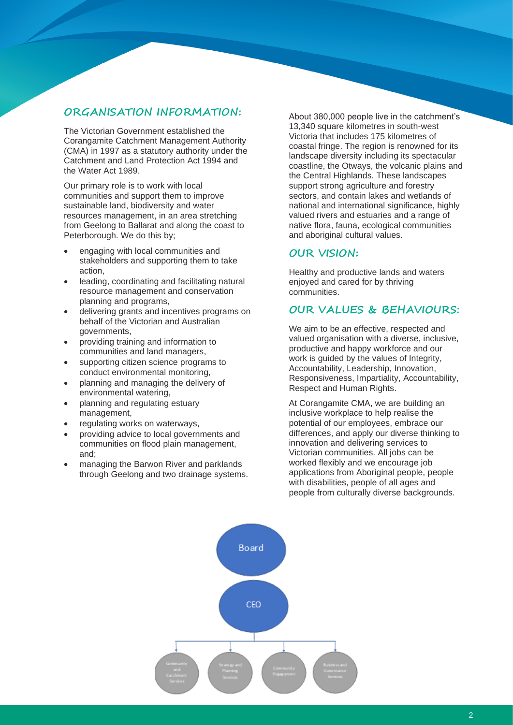# **ORGANISATION INFORMATION:**

The Victorian Government established the Corangamite Catchment Management Authority (CMA) in 1997 as a statutory authority under the Catchment and Land Protection Act 1994 and the Water Act 1989.

Our primary role is to work with local communities and support them to improve sustainable land, biodiversity and water resources management, in an area stretching from Geelong to Ballarat and along the coast to Peterborough. We do this by;

- engaging with local communities and stakeholders and supporting them to take action,
- leading, coordinating and facilitating natural resource management and conservation planning and programs,
- delivering grants and incentives programs on behalf of the Victorian and Australian governments,
- providing training and information to communities and land managers,
- supporting citizen science programs to conduct environmental monitoring,
- planning and managing the delivery of environmental watering,
- planning and regulating estuary management,
- regulating works on waterways,
- providing advice to local governments and communities on flood plain management, and;
- managing the Barwon River and parklands through Geelong and two drainage systems.

About 380,000 people live in the catchment's 13,340 square kilometres in south-west Victoria that includes 175 kilometres of coastal fringe. The region is renowned for its landscape diversity including its spectacular coastline, the Otways, the volcanic plains and the Central Highlands. These landscapes support strong agriculture and forestry sectors, and contain lakes and wetlands of national and international significance, highly valued rivers and estuaries and a range of native flora, fauna, ecological communities and aboriginal cultural values.

### **OUR VISION:**

Healthy and productive lands and waters enjoyed and cared for by thriving communities.

### **OUR VALUES & BEHAVIOURS:**

We aim to be an effective, respected and valued organisation with a diverse, inclusive, productive and happy workforce and our work is guided by the values of Integrity, Accountability, Leadership, Innovation, Responsiveness, Impartiality, Accountability, Respect and Human Rights.

At Corangamite CMA, we are building an inclusive workplace to help realise the potential of our employees, embrace our differences, and apply our diverse thinking to innovation and delivering services to Victorian communities. All jobs can be worked flexibly and we encourage job applications from Aboriginal people, people with disabilities, people of all ages and people from culturally diverse backgrounds.

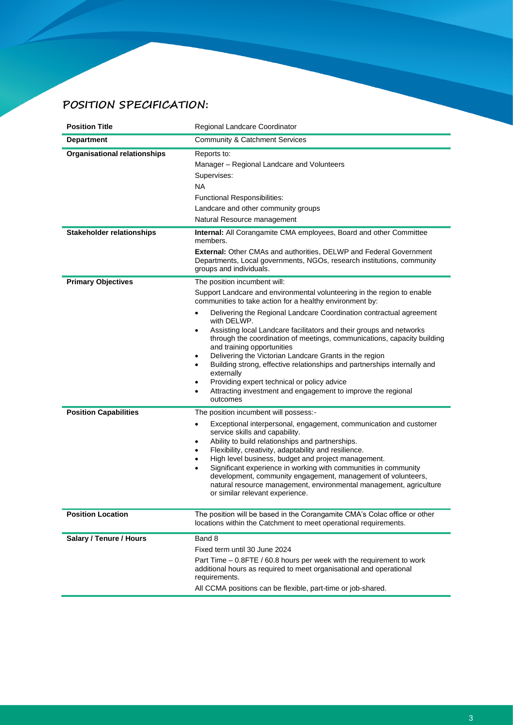# **POSITION SPECIFICATION:**

| <b>Position Title</b>               | Regional Landcare Coordinator                                                                                                                                                                                                                                                                                                                                                                                                                                                                                                                                                                                                                                                                                                                   |
|-------------------------------------|-------------------------------------------------------------------------------------------------------------------------------------------------------------------------------------------------------------------------------------------------------------------------------------------------------------------------------------------------------------------------------------------------------------------------------------------------------------------------------------------------------------------------------------------------------------------------------------------------------------------------------------------------------------------------------------------------------------------------------------------------|
| <b>Department</b>                   | <b>Community &amp; Catchment Services</b>                                                                                                                                                                                                                                                                                                                                                                                                                                                                                                                                                                                                                                                                                                       |
| <b>Organisational relationships</b> | Reports to:<br>Manager - Regional Landcare and Volunteers<br>Supervises:<br><b>NA</b><br><b>Functional Responsibilities:</b><br>Landcare and other community groups<br>Natural Resource management                                                                                                                                                                                                                                                                                                                                                                                                                                                                                                                                              |
| <b>Stakeholder relationships</b>    | Internal: All Corangamite CMA employees, Board and other Committee<br>members.                                                                                                                                                                                                                                                                                                                                                                                                                                                                                                                                                                                                                                                                  |
|                                     | <b>External:</b> Other CMAs and authorities, DELWP and Federal Government<br>Departments, Local governments, NGOs, research institutions, community<br>groups and individuals.                                                                                                                                                                                                                                                                                                                                                                                                                                                                                                                                                                  |
| <b>Primary Objectives</b>           | The position incumbent will:<br>Support Landcare and environmental volunteering in the region to enable<br>communities to take action for a healthy environment by:<br>Delivering the Regional Landcare Coordination contractual agreement<br>with DELWP.<br>Assisting local Landcare facilitators and their groups and networks<br>٠<br>through the coordination of meetings, communications, capacity building<br>and training opportunities<br>Delivering the Victorian Landcare Grants in the region<br>٠<br>Building strong, effective relationships and partnerships internally and<br>externally<br>Providing expert technical or policy advice<br>$\bullet$<br>Attracting investment and engagement to improve the regional<br>outcomes |
| <b>Position Capabilities</b>        | The position incumbent will possess:-<br>Exceptional interpersonal, engagement, communication and customer<br>٠<br>service skills and capability.<br>Ability to build relationships and partnerships.<br>٠<br>Flexibility, creativity, adaptability and resilience.<br>$\bullet$<br>High level business, budget and project management.<br>٠<br>Significant experience in working with communities in community<br>development, community engagement, management of volunteers,<br>natural resource management, environmental management, agriculture<br>or similar relevant experience.                                                                                                                                                        |
| <b>Position Location</b>            | The position will be based in the Corangamite CMA's Colac office or other<br>locations within the Catchment to meet operational requirements.                                                                                                                                                                                                                                                                                                                                                                                                                                                                                                                                                                                                   |
| Salary / Tenure / Hours             | Band 8<br>Fixed term until 30 June 2024<br>Part Time – 0.8FTE / 60.8 hours per week with the requirement to work<br>additional hours as required to meet organisational and operational<br>requirements.<br>All CCMA positions can be flexible, part-time or job-shared.                                                                                                                                                                                                                                                                                                                                                                                                                                                                        |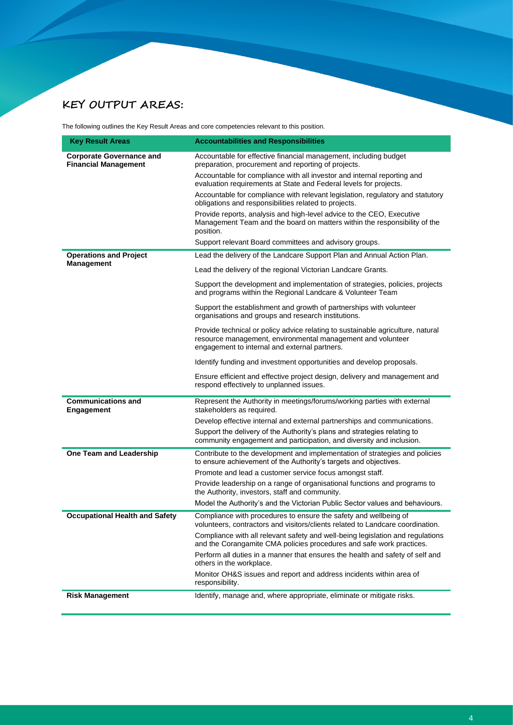# **KEY OUTPUT AREAS:**

The following outlines the Key Result Areas and core competencies relevant to this position.

| <b>Key Result Areas</b>                                        | <b>Accountabilities and Responsibilities</b>                                                                                                                                                    |
|----------------------------------------------------------------|-------------------------------------------------------------------------------------------------------------------------------------------------------------------------------------------------|
| <b>Corporate Governance and</b><br><b>Financial Management</b> | Accountable for effective financial management, including budget<br>preparation, procurement and reporting of projects.                                                                         |
|                                                                | Accountable for compliance with all investor and internal reporting and<br>evaluation requirements at State and Federal levels for projects.                                                    |
|                                                                | Accountable for compliance with relevant legislation, regulatory and statutory<br>obligations and responsibilities related to projects.                                                         |
|                                                                | Provide reports, analysis and high-level advice to the CEO, Executive<br>Management Team and the board on matters within the responsibility of the<br>position.                                 |
|                                                                | Support relevant Board committees and advisory groups.                                                                                                                                          |
| <b>Operations and Project</b>                                  | Lead the delivery of the Landcare Support Plan and Annual Action Plan.                                                                                                                          |
| <b>Management</b>                                              | Lead the delivery of the regional Victorian Landcare Grants.                                                                                                                                    |
|                                                                | Support the development and implementation of strategies, policies, projects<br>and programs within the Regional Landcare & Volunteer Team                                                      |
|                                                                | Support the establishment and growth of partnerships with volunteer<br>organisations and groups and research institutions.                                                                      |
|                                                                | Provide technical or policy advice relating to sustainable agriculture, natural<br>resource management, environmental management and volunteer<br>engagement to internal and external partners. |
|                                                                | Identify funding and investment opportunities and develop proposals.                                                                                                                            |
|                                                                | Ensure efficient and effective project design, delivery and management and<br>respond effectively to unplanned issues.                                                                          |
| <b>Communications and</b><br><b>Engagement</b>                 | Represent the Authority in meetings/forums/working parties with external<br>stakeholders as required.                                                                                           |
|                                                                | Develop effective internal and external partnerships and communications.                                                                                                                        |
|                                                                | Support the delivery of the Authority's plans and strategies relating to<br>community engagement and participation, and diversity and inclusion.                                                |
| One Team and Leadership                                        | Contribute to the development and implementation of strategies and policies<br>to ensure achievement of the Authority's targets and objectives.                                                 |
|                                                                | Promote and lead a customer service focus amongst staff.                                                                                                                                        |
|                                                                | Provide leadership on a range of organisational functions and programs to<br>the Authority, investors, staff and community.                                                                     |
|                                                                | Model the Authority's and the Victorian Public Sector values and behaviours.                                                                                                                    |
| <b>Occupational Health and Safety</b>                          | Compliance with procedures to ensure the safety and wellbeing of<br>volunteers, contractors and visitors/clients related to Landcare coordination.                                              |
|                                                                | Compliance with all relevant safety and well-being legislation and regulations<br>and the Corangamite CMA policies procedures and safe work practices.                                          |
|                                                                | Perform all duties in a manner that ensures the health and safety of self and<br>others in the workplace.                                                                                       |
|                                                                | Monitor OH&S issues and report and address incidents within area of<br>responsibility.                                                                                                          |
| <b>Risk Management</b>                                         | Identify, manage and, where appropriate, eliminate or mitigate risks.                                                                                                                           |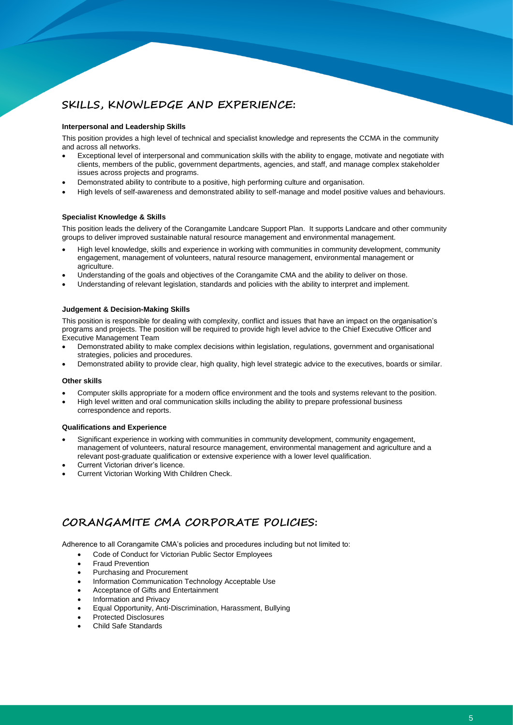# **SKILLS, KNOWLEDGE AND EXPERIENCE:**

#### **Interpersonal and Leadership Skills**

This position provides a high level of technical and specialist knowledge and represents the CCMA in the community and across all networks.

- Exceptional level of interpersonal and communication skills with the ability to engage, motivate and negotiate with clients, members of the public, government departments, agencies, and staff, and manage complex stakeholder issues across projects and programs.
- Demonstrated ability to contribute to a positive, high performing culture and organisation.
- High levels of self-awareness and demonstrated ability to self-manage and model positive values and behaviours.

#### **Specialist Knowledge & Skills**

This position leads the delivery of the Corangamite Landcare Support Plan. It supports Landcare and other community groups to deliver improved sustainable natural resource management and environmental management.

- High level knowledge, skills and experience in working with communities in community development, community engagement, management of volunteers, natural resource management, environmental management or agriculture.
- Understanding of the goals and objectives of the Corangamite CMA and the ability to deliver on those.
- Understanding of relevant legislation, standards and policies with the ability to interpret and implement.

#### **Judgement & Decision-Making Skills**

This position is responsible for dealing with complexity, conflict and issues that have an impact on the organisation's programs and projects. The position will be required to provide high level advice to the Chief Executive Officer and Executive Management Team

- Demonstrated ability to make complex decisions within legislation, regulations, government and organisational strategies, policies and procedures.
- Demonstrated ability to provide clear, high quality, high level strategic advice to the executives, boards or similar.

#### **Other skills**

- Computer skills appropriate for a modern office environment and the tools and systems relevant to the position.
- High level written and oral communication skills including the ability to prepare professional business correspondence and reports.

#### **Qualifications and Experience**

- Significant experience in working with communities in community development, community engagement, management of volunteers, natural resource management, environmental management and agriculture and a relevant post-graduate qualification or extensive experience with a lower level qualification.
- Current Victorian driver's licence.
- Current Victorian Working With Children Check.

# **CORANGAMITE CMA CORPORATE POLICIES:**

Adherence to all Corangamite CMA's policies and procedures including but not limited to:

- Code of Conduct for Victorian Public Sector Employees
- **Fraud Prevention**
- Purchasing and Procurement
- Information Communication Technology Acceptable Use
- Acceptance of Gifts and Entertainment
- Information and Privacy
- Equal Opportunity, Anti-Discrimination, Harassment, Bullying
- Protected Disclosures
- Child Safe Standards